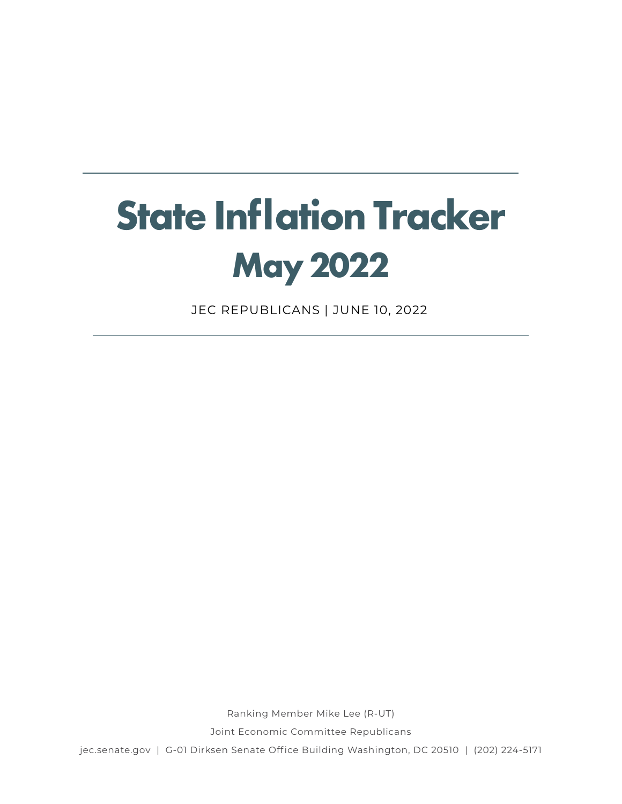# **State Inflation Tracker May 2022**

JEC REPUBLICANS | JUNE 10, 2022

Ranking Member Mike Lee (R-UT)

Joint Economic Committee Republicans

jec.senate.gov | G-01 Dirksen Senate Office Building Washington, DC 20510 | (202) 224-5171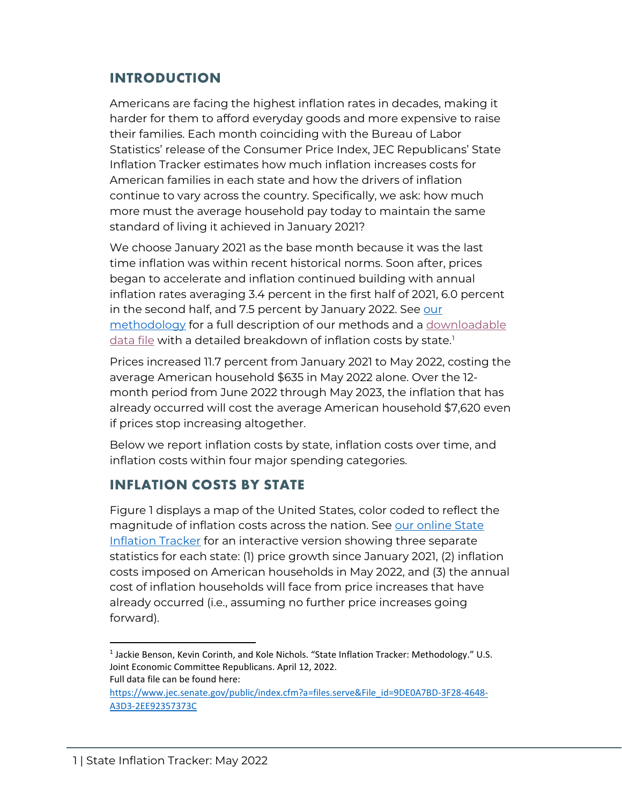## **INTRODUCTION**

Americans are facing the highest inflation rates in decades, making it harder for them to afford everyday goods and more expensive to raise their families. Each month coinciding with the Bureau of Labor Statistics' release of the Consumer Price Index, JEC Republicans' State Inflation Tracker estimates how much inflation increases costs for American families in each state and how the drivers of inflation continue to vary across the country. Specifically, we ask: how much more must the average household pay today to maintain the same standard of living it achieved in January 2021?

We choose January 2021 as the base month because it was the last time inflation was within recent historical norms. Soon after, prices began to accelerate and inflation continued building with annual inflation rates averaging 3.4 percent in the first half of 2021, 6.0 percent in the second half, and 7.5 percent by January 2022. See our [methodology](https://www.jec.senate.gov/public/_cache/files/42ae8140-63a5-41de-9579-13ba3d415118/inflation-tracker-methodology.pdf) for a full description of our methods and a [downloadable](https://www.jec.senate.gov/public/index.cfm?a=files.serve&File_id=9DE0A7BD-3F28-4648-A3D3-2EE92357373C)   $data$  file with a detailed breakdown of inflation costs by state.<sup>[1](#page-1-0)</sup>

Prices increased 11.7 percent from January 2021 to May 2022, costing the average American household \$635 in May 2022 alone. Over the 12 month period from June 2022 through May 2023, the inflation that has already occurred will cost the average American household \$7,620 even if prices stop increasing altogether.

Below we report inflation costs by state, inflation costs over time, and inflation costs within four major spending categories.

### **INFLATION COSTS BY STATE**

Figure 1 displays a map of the United States, color coded to reflect the magnitude of inflation costs across the nation. See [our online State](https://www.jec.senate.gov/public/index.cfm/republicans/state-inflation-tracker)  [Inflation Tracker](https://www.jec.senate.gov/public/index.cfm/republicans/state-inflation-tracker) for an interactive version showing three separate statistics for each state: (1) price growth since January 2021, (2) inflation costs imposed on American households in May 2022, and (3) the annual cost of inflation households will face from price increases that have already occurred (i.e., assuming no further price increases going forward).

 $\overline{\phantom{a}}$ 

<span id="page-1-0"></span><sup>&</sup>lt;sup>1</sup> Jackie Benson, Kevin Corinth, and Kole Nichols. "State Inflation Tracker: Methodology." U.S. Joint Economic Committee Republicans. April 12, 2022. Full data file can be found here:

[https://www.jec.senate.gov/public/index.cfm?a=files.serve&File\\_id=9DE0A7BD-3F28-4648-](https://www.jec.senate.gov/public/index.cfm?a=files.serve&File_id=9DE0A7BD-3F28-4648-A3D3-2EE92357373C) [A3D3-2EE92357373C](https://www.jec.senate.gov/public/index.cfm?a=files.serve&File_id=9DE0A7BD-3F28-4648-A3D3-2EE92357373C)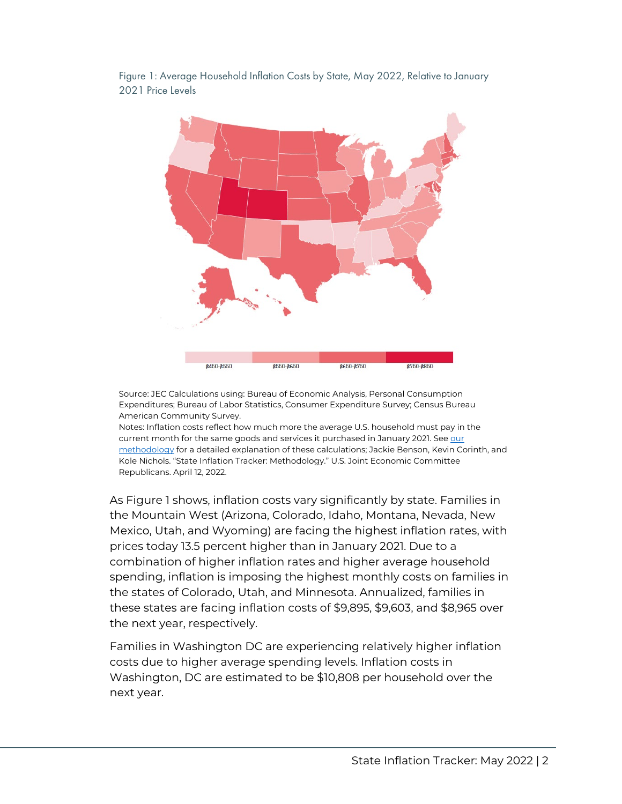

Figure 1: Average Household Inflation Costs by State, May 2022, Relative to January 2021 Price Levels

Source: JEC Calculations using: Bureau of Economic Analysis, Personal Consumption Expenditures; Bureau of Labor Statistics, Consumer Expenditure Survey; Census Bureau American Community Survey.

Notes: Inflation costs reflect how much more the average U.S. household must pay in the current month for the same goods and services it purchased in January 2021. See our [methodology](https://www.jec.senate.gov/public/_cache/files/42ae8140-63a5-41de-9579-13ba3d415118/inflation-tracker-methodology.pdf) for a detailed explanation of these calculations; Jackie Benson, Kevin Corinth, and Kole Nichols. "State Inflation Tracker: Methodology." U.S. Joint Economic Committee Republicans. April 12, 2022.

As Figure 1 shows, inflation costs vary significantly by state. Families in the Mountain West (Arizona, Colorado, Idaho, Montana, Nevada, New Mexico, Utah, and Wyoming) are facing the highest inflation rates, with prices today 13.5 percent higher than in January 2021. Due to a combination of higher inflation rates and higher average household spending, inflation is imposing the highest monthly costs on families in the states of Colorado, Utah, and Minnesota. Annualized, families in these states are facing inflation costs of \$9,895, \$9,603, and \$8,965 over the next year, respectively.

Families in Washington DC are experiencing relatively higher inflation costs due to higher average spending levels. Inflation costs in Washington, DC are estimated to be \$10,808 per household over the next year.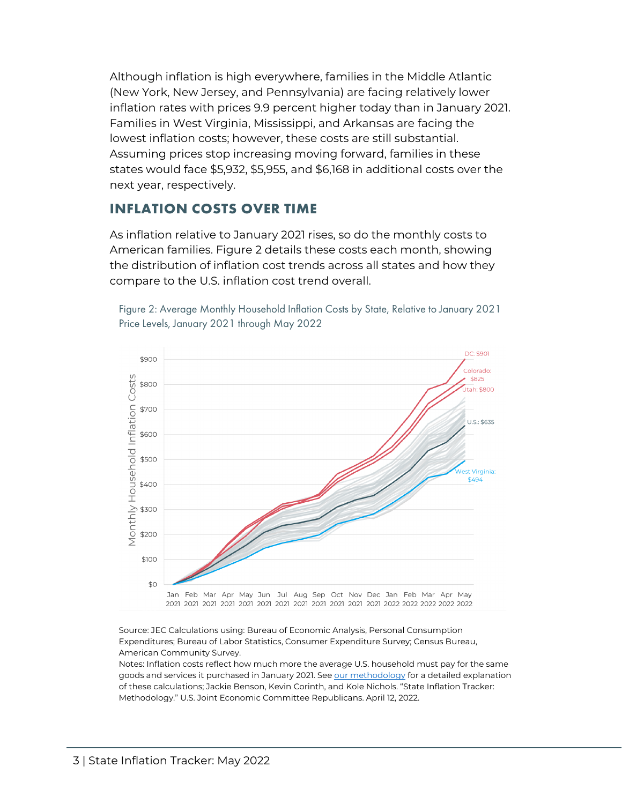Although inflation is high everywhere, families in the Middle Atlantic (New York, New Jersey, and Pennsylvania) are facing relatively lower inflation rates with prices 9.9 percent higher today than in January 2021. Families in West Virginia, Mississippi, and Arkansas are facing the lowest inflation costs; however, these costs are still substantial. Assuming prices stop increasing moving forward, families in these states would face \$5,932, \$5,955, and \$6,168 in additional costs over the next year, respectively.

#### **INFLATION COSTS OVER TIME**

As inflation relative to January 2021 rises, so do the monthly costs to American families. Figure 2 details these costs each month, showing the distribution of inflation cost trends across all states and how they compare to the U.S. inflation cost trend overall.



Figure 2: Average Monthly Household Inflation Costs by State, Relative to January 2021 Price Levels, January 2021 through May 2022

Source: JEC Calculations using: Bureau of Economic Analysis, Personal Consumption Expenditures; Bureau of Labor Statistics, Consumer Expenditure Survey; Census Bureau, American Community Survey.

Notes: Inflation costs reflect how much more the average U.S. household must pay for the same goods and services it purchased in January 2021. Se[e our methodology](https://www.jec.senate.gov/public/_cache/files/42ae8140-63a5-41de-9579-13ba3d415118/inflation-tracker-methodology.pdf) for a detailed explanation of these calculations; Jackie Benson, Kevin Corinth, and Kole Nichols. "State Inflation Tracker: Methodology." U.S. Joint Economic Committee Republicans. April 12, 2022.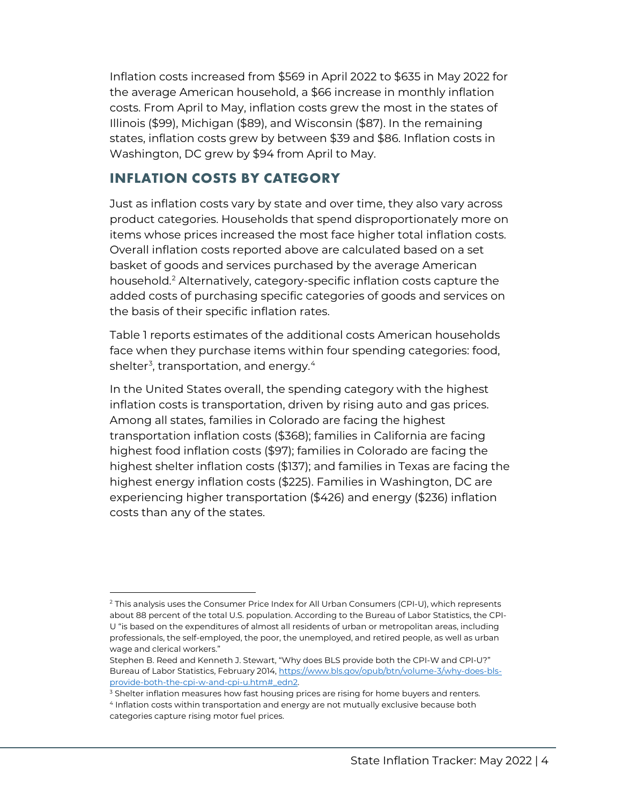Inflation costs increased from \$569 in April 2022 to \$635 in May 2022 for the average American household, a \$66 increase in monthly inflation costs. From April to May, inflation costs grew the most in the states of Illinois (\$99), Michigan (\$89), and Wisconsin (\$87). In the remaining states, inflation costs grew by between \$39 and \$86. Inflation costs in Washington, DC grew by \$94 from April to May.

### **INFLATION COSTS BY CATEGORY**

l

Just as inflation costs vary by state and over time, they also vary across product categories. Households that spend disproportionately more on items whose prices increased the most face higher total inflation costs. Overall inflation costs reported above are calculated based on a set basket of goods and services purchased by the average American household.[2](#page-4-0) Alternatively, category-specific inflation costs capture the added costs of purchasing specific categories of goods and services on the basis of their specific inflation rates.

Table 1 reports estimates of the additional costs American households face when they purchase items within four spending categories: food, shelter $^{\text{3}}$  $^{\text{3}}$  $^{\text{3}}$ , transportation, and energy. $^{\text{4}}$  $^{\text{4}}$  $^{\text{4}}$ 

In the United States overall, the spending category with the highest inflation costs is transportation, driven by rising auto and gas prices. Among all states, families in Colorado are facing the highest transportation inflation costs (\$368); families in California are facing highest food inflation costs (\$97); families in Colorado are facing the highest shelter inflation costs (\$137); and families in Texas are facing the highest energy inflation costs (\$225). Families in Washington, DC are experiencing higher transportation (\$426) and energy (\$236) inflation costs than any of the states.

<span id="page-4-0"></span><sup>&</sup>lt;sup>2</sup> This analysis uses the Consumer Price Index for All Urban Consumers (CPI-U), which represents about 88 percent of the total U.S. population. According to the Bureau of Labor Statistics, the CPI-U "is based on the expenditures of almost all residents of urban or metropolitan areas, including professionals, the self-employed, the poor, the unemployed, and retired people, as well as urban wage and clerical workers."

Stephen B. Reed and Kenneth J. Stewart, "Why does BLS provide both the CPI-W and CPI-U?" Bureau of Labor Statistics, February 2014[, https://www.bls.gov/opub/btn/volume-3/why-does-bls](https://www.bls.gov/opub/btn/volume-3/why-does-bls-provide-both-the-cpi-w-and-cpi-u.htm#_edn2)[provide-both-the-cpi-w-and-cpi-u.htm#\\_edn2.](https://www.bls.gov/opub/btn/volume-3/why-does-bls-provide-both-the-cpi-w-and-cpi-u.htm#_edn2) 

<span id="page-4-1"></span> $3$  Shelter inflation measures how fast housing prices are rising for home buyers and renters.<br> $4$  Inflation costs within transportation and energy are not mutually exclusive because both

<span id="page-4-2"></span>categories capture rising motor fuel prices.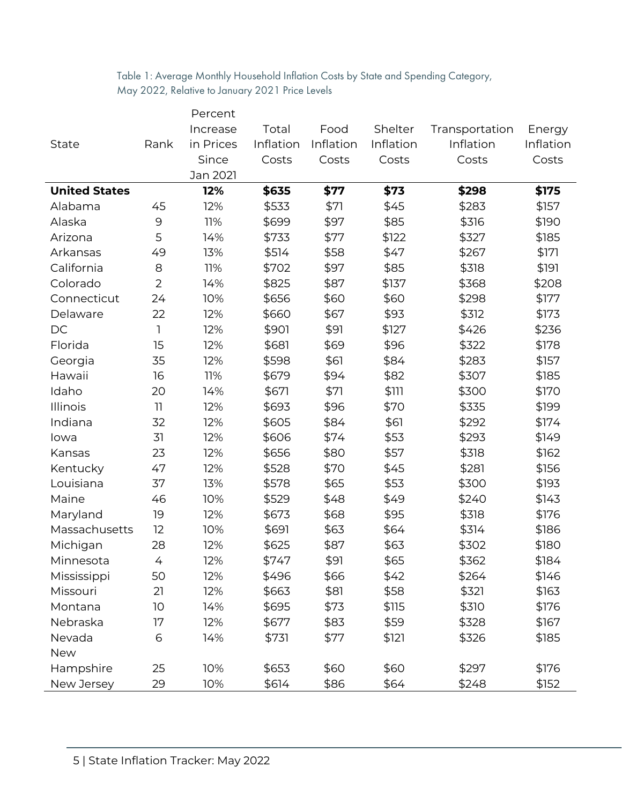Table 1: Average Monthly Household Inflation Costs by State and Spending Category, May 2022, Relative to January 2021 Price Levels

|                      |                | Percent   |           |           |           |                |           |
|----------------------|----------------|-----------|-----------|-----------|-----------|----------------|-----------|
|                      |                | Increase  | Total     | Food      | Shelter   | Transportation | Energy    |
| State                | Rank           | in Prices | Inflation | Inflation | Inflation | Inflation      | Inflation |
|                      |                | Since     | Costs     | Costs     | Costs     | Costs          | Costs     |
|                      |                | Jan 2021  |           |           |           |                |           |
| <b>United States</b> |                | 12%       | \$635     | \$77      | \$73      | \$298          | \$175     |
| Alabama              | 45             | 12%       | \$533     | \$71      | \$45      | \$283          | \$157     |
| Alaska               | 9              | 11%       | \$699     | \$97      | \$85      | \$316          | \$190     |
| Arizona              | 5              | 14%       | \$733     | \$77      | \$122     | \$327          | \$185     |
| Arkansas             | 49             | 13%       | \$514     | \$58      | \$47      | \$267          | \$171     |
| California           | 8              | 11%       | \$702     | \$97      | \$85      | \$318          | \$191     |
| Colorado             | $\overline{2}$ | 14%       | \$825     | \$87      | \$137     | \$368          | \$208     |
| Connecticut          | 24             | 10%       | \$656     | \$60      | \$60      | \$298          | \$177     |
| Delaware             | 22             | 12%       | \$660     | \$67      | \$93      | \$312          | \$173     |
| DC                   | 1              | 12%       | \$901     | \$91      | \$127     | \$426          | \$236     |
| Florida              | 15             | 12%       | \$681     | \$69      | \$96      | \$322          | \$178     |
| Georgia              | 35             | 12%       | \$598     | \$61      | \$84      | \$283          | \$157     |
| Hawaii               | 16             | 11%       | \$679     | \$94      | \$82      | \$307          | \$185     |
| Idaho                | 20             | 14%       | \$671     | \$71      | \$111     | \$300          | \$170     |
| Illinois             | 11             | 12%       | \$693     | \$96      | \$70      | \$335          | \$199     |
| Indiana              | 32             | 12%       | \$605     | \$84      | \$61      | \$292          | \$174     |
| lowa                 | 31             | 12%       | \$606     | \$74      | \$53      | \$293          | \$149     |
| Kansas               | 23             | 12%       | \$656     | \$80      | \$57      | \$318          | \$162     |
| Kentucky             | 47             | 12%       | \$528     | \$70      | \$45      | \$281          | \$156     |
| Louisiana            | 37             | 13%       | \$578     | \$65      | \$53      | \$300          | \$193     |
| Maine                | 46             | 10%       | \$529     | \$48      | \$49      | \$240          | \$143     |
| Maryland             | 19             | 12%       | \$673     | \$68      | \$95      | \$318          | \$176     |
| Massachusetts        | 12             | 10%       | \$691     | \$63      | \$64      | \$314          | \$186     |
| Michigan             | 28             | 12%       | \$625     | \$87      | \$63      | \$302          | \$180     |
| Minnesota            | 4              | 12%       | \$747     | \$91      | \$65      | \$362          | \$184     |
| Mississippi          | 50             | 12%       | \$496     | \$66      | \$42      | \$264          | \$146     |
| Missouri             | 21             | 12%       | \$663     | \$81      | \$58      | \$321          | \$163     |
| Montana              | 10             | 14%       | \$695     | \$73      | \$115     | \$310          | \$176     |
| Nebraska             | 17             | 12%       | \$677     | \$83      | \$59      | \$328          | \$167     |
| Nevada               | 6              | 14%       | \$731     | \$77      | \$121     | \$326          | \$185     |
| <b>New</b>           |                |           |           |           |           |                |           |
| Hampshire            | 25             | 10%       | \$653     | \$60      | \$60      | \$297          | \$176     |
| New Jersey           | 29             | 10%       | \$614     | \$86      | \$64      | \$248          | \$152     |